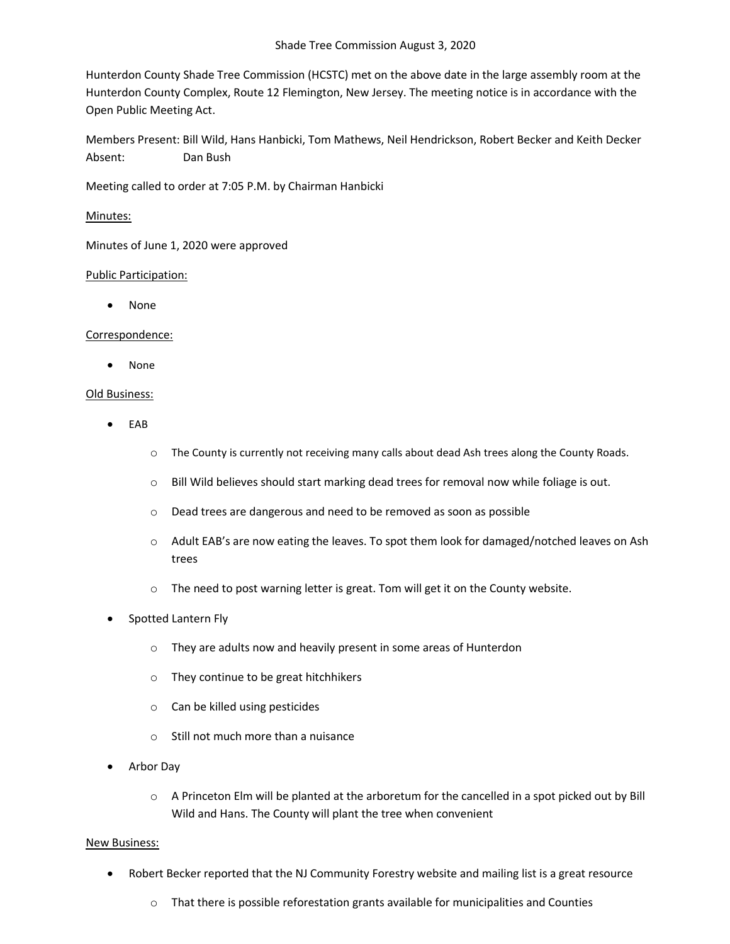Hunterdon County Shade Tree Commission (HCSTC) met on the above date in the large assembly room at the Hunterdon County Complex, Route 12 Flemington, New Jersey. The meeting notice is in accordance with the Open Public Meeting Act.

Members Present: Bill Wild, Hans Hanbicki, Tom Mathews, Neil Hendrickson, Robert Becker and Keith Decker Absent: Dan Bush

Meeting called to order at 7:05 P.M. by Chairman Hanbicki

# Minutes:

Minutes of June 1, 2020 were approved

## Public Participation:

• None

## Correspondence:

• None

## Old Business:

- EAB
	- o The County is currently not receiving many calls about dead Ash trees along the County Roads.
	- o Bill Wild believes should start marking dead trees for removal now while foliage is out.
	- o Dead trees are dangerous and need to be removed as soon as possible
	- $\circ$  Adult EAB's are now eating the leaves. To spot them look for damaged/notched leaves on Ash trees
	- o The need to post warning letter is great. Tom will get it on the County website.
- Spotted Lantern Fly
	- o They are adults now and heavily present in some areas of Hunterdon
	- o They continue to be great hitchhikers
	- o Can be killed using pesticides
	- o Still not much more than a nuisance
- Arbor Day
	- $\circ$  A Princeton Elm will be planted at the arboretum for the cancelled in a spot picked out by Bill Wild and Hans. The County will plant the tree when convenient

## New Business:

- Robert Becker reported that the NJ Community Forestry website and mailing list is a great resource
	- $\circ$  That there is possible reforestation grants available for municipalities and Counties